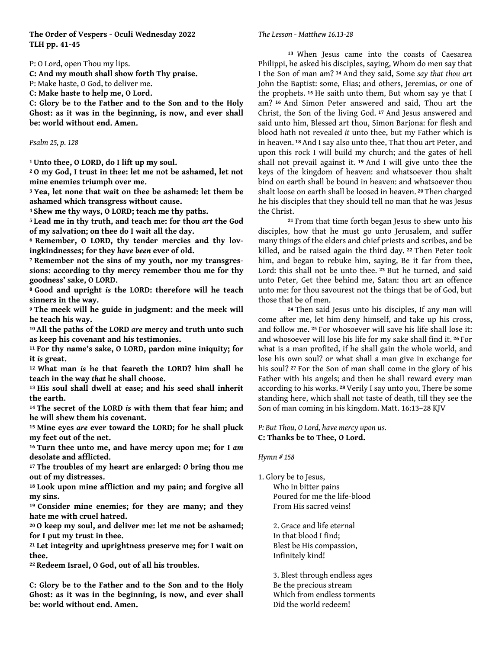# **The Order of Vespers - Oculi Wednesday 2022 TLH pp. 41-45**

P: O Lord, open Thou my lips.

**C: And my mouth shall show forth Thy praise.**

P: Make haste, O God, to deliver me.

**C: Make haste to help me, O Lord.**

**C: Glory be to the Father and to the Son and to the Holy Ghost: as it was in the beginning, is now, and ever shall be: world without end. Amen.**

### *Psalm 25, p. 128*

**1 Unto thee, O LORD, do I lift up my soul.**

**2 O my God, I trust in thee: let me not be ashamed, let not mine enemies triumph over me.**

**3 Yea, let none that wait on thee be ashamed: let them be ashamed which transgress without cause.**

**4 Shew me thy ways, O LORD; teach me thy paths.**

**5 Lead me in thy truth, and teach me: for thou** *art* **the God of my salvation; on thee do I wait all the day.**

**6 Remember, O LORD, thy tender mercies and thy lovingkindnesses; for they** *have been* **ever of old.**

**7 Remember not the sins of my youth, nor my transgressions: according to thy mercy remember thou me for thy goodness' sake, O LORD.**

**8 Good and upright** *is* **the LORD: therefore will he teach sinners in the way.**

**9 The meek will he guide in judgment: and the meek will he teach his way.**

**10 All the paths of the LORD** *are* **mercy and truth unto such as keep his covenant and his testimonies.**

**11 For thy name's sake, O LORD, pardon mine iniquity; for it** *is* **great.**

**12 What man** *is* **he that feareth the LORD? him shall he teach in the way** *that* **he shall choose.**

**13 His soul shall dwell at ease; and his seed shall inherit the earth.**

**14 The secret of the LORD** *is* **with them that fear him; and he will shew them his covenant.**

**15 Mine eyes** *are* **ever toward the LORD; for he shall pluck my feet out of the net.**

**16 Turn thee unto me, and have mercy upon me; for I** *am* **desolate and afflicted.**

**17 The troubles of my heart are enlarged:** *O* **bring thou me out of my distresses.**

**18 Look upon mine affliction and my pain; and forgive all my sins.**

**19 Consider mine enemies; for they are many; and they hate me with cruel hatred.**

**20 O keep my soul, and deliver me: let me not be ashamed; for I put my trust in thee.**

**21 Let integrity and uprightness preserve me; for I wait on thee.**

**22 Redeem Israel, O God, out of all his troubles.**

**C: Glory be to the Father and to the Son and to the Holy Ghost: as it was in the beginning, is now, and ever shall be: world without end. Amen.**

#### *The Lesson - Matthew 16.13-28*

**<sup>13</sup>**When Jesus came into the coasts of Caesarea Philippi, he asked his disciples, saying, Whom do men say that I the Son of man am? **14** And they said, Some *say that thou art* John the Baptist: some, Elias; and others, Jeremias, or one of the prophets. **15** He saith unto them, But whom say ye that I am? **16** And Simon Peter answered and said, Thou art the Christ, the Son of the living God. **17** And Jesus answered and said unto him, Blessed art thou, Simon Barjona: for flesh and blood hath not revealed *it* unto thee, but my Father which is in heaven. **18** And I say also unto thee, That thou art Peter, and upon this rock I will build my church; and the gates of hell shall not prevail against it. **19** And I will give unto thee the keys of the kingdom of heaven: and whatsoever thou shalt bind on earth shall be bound in heaven: and whatsoever thou shalt loose on earth shall be loosed in heaven. **20** Then charged he his disciples that they should tell no man that he was Jesus the Christ.

**<sup>21</sup>**From that time forth began Jesus to shew unto his disciples, how that he must go unto Jerusalem, and suffer many things of the elders and chief priests and scribes, and be killed, and be raised again the third day. **22** Then Peter took him, and began to rebuke him, saying, Be it far from thee, Lord: this shall not be unto thee. **23** But he turned, and said unto Peter, Get thee behind me, Satan: thou art an offence unto me: for thou savourest not the things that be of God, but those that be of men.

**<sup>24</sup>**Then said Jesus unto his disciples, If any *man* will come after me, let him deny himself, and take up his cross, and follow me. **25** For whosoever will save his life shall lose it: and whosoever will lose his life for my sake shall find it. **26** For what is a man profited, if he shall gain the whole world, and lose his own soul? or what shall a man give in exchange for his soul? **27** For the Son of man shall come in the glory of his Father with his angels; and then he shall reward every man according to his works. **28** Verily I say unto you, There be some standing here, which shall not taste of death, till they see the Son of man coming in his kingdom. Matt. 16:13–28 KJV

*P: But Thou, O Lord, have mercy upon us.* **C: Thanks be to Thee, O Lord.**

#### *Hymn # 158*

1. Glory be to Jesus, Who in bitter pains Poured for me the life-blood From His sacred veins!

> 2. Grace and life eternal In that blood I find; Blest be His compassion, Infinitely kind!

 3. Blest through endless ages Be the precious stream Which from endless torments Did the world redeem!